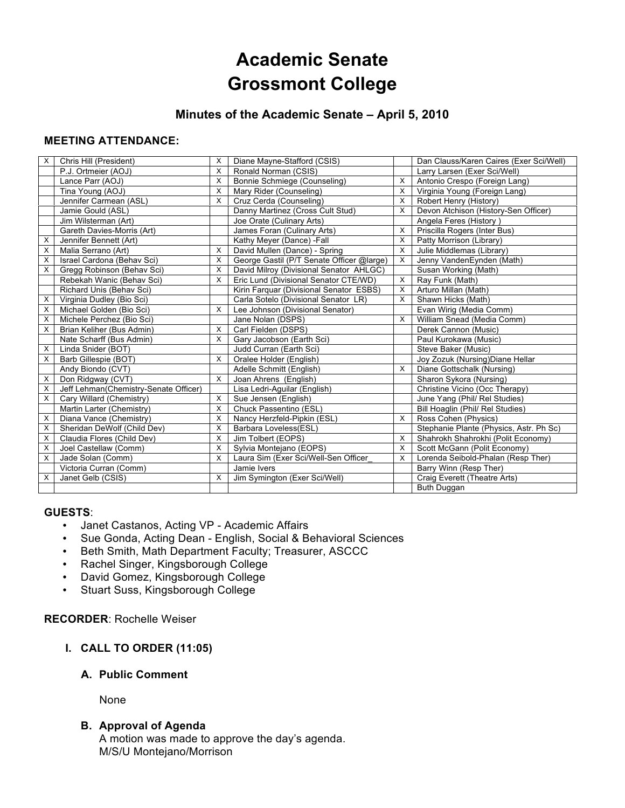# **Academic Senate Grossmont College**

# **Minutes of the Academic Senate – April 5, 2010**

# **MEETING ATTENDANCE:**

| $\times$ | Chris Hill (President)                | X        | Diane Mayne-Stafford (CSIS)               |   | Dan Clauss/Karen Caires (Exer Sci/Well) |
|----------|---------------------------------------|----------|-------------------------------------------|---|-----------------------------------------|
|          | P.J. Ortmeier (AOJ)                   | X        | Ronald Norman (CSIS)                      |   | Larry Larsen (Exer Sci/Well)            |
|          | Lance Parr (AOJ)                      | $\times$ | Bonnie Schmiege (Counseling)              | X | Antonio Crespo (Foreign Lang)           |
|          | Tina Young (AOJ)                      | X        | Mary Rider (Counseling)                   | X | Virginia Young (Foreign Lang)           |
|          | Jennifer Carmean (ASL)                | X        | Cruz Cerda (Counseling)                   | X | Robert Henry (History)                  |
|          | Jamie Gould (ASL)                     |          | Danny Martinez (Cross Cult Stud)          | X | Devon Atchison (History-Sen Officer)    |
|          | Jim Wilsterman (Art)                  |          | Joe Orate (Culinary Arts)                 |   | Angela Feres (History)                  |
|          | Gareth Davies-Morris (Art)            |          | James Foran (Culinary Arts)               | X | Priscilla Rogers (Inter Bus)            |
| X        | Jennifer Bennett (Art)                |          | Kathy Meyer (Dance) -Fall                 | X | Patty Morrison (Library)                |
| х        | Malia Serrano (Art)                   | X        | David Mullen (Dance) - Spring             | X | Julie Middlemas (Library)               |
| X        | Israel Cardona (Behav Sci)            | $\times$ | George Gastil (P/T Senate Officer @large) | X | Jenny VandenEynden (Math)               |
| X        | Gregg Robinson (Behav Sci)            | X        | David Milroy (Divisional Senator AHLGC)   |   | Susan Working (Math)                    |
|          | Rebekah Wanic (Behav Sci)             | $\times$ | Eric Lund (Divisional Senator CTE/WD)     | X | Ray Funk (Math)                         |
|          | Richard Unis (Behav Sci)              |          | Kirin Farquar (Divisional Senator ESBS)   | х | Arturo Millan (Math)                    |
| Χ        | Virginia Dudley (Bio Sci)             |          | Carla Sotelo (Divisional Senator LR)      | X | Shawn Hicks (Math)                      |
| X        | Michael Golden (Bio Sci)              | $\times$ | Lee Johnson (Divisional Senator)          |   | Evan Wirig (Media Comm)                 |
| X        | Michele Perchez (Bio Sci)             |          | Jane Nolan (DSPS)                         | X | William Snead (Media Comm)              |
| X        | Brian Keliher (Bus Admin)             | X        | Carl Fielden (DSPS)                       |   | Derek Cannon (Music)                    |
|          | Nate Scharff (Bus Admin)              | X        | Gary Jacobson (Earth Sci)                 |   | Paul Kurokawa (Music)                   |
| X        | Linda Snider (BOT)                    |          | Judd Curran (Earth Sci)                   |   | Steve Baker (Music)                     |
| $\times$ | Barb Gillespie (BOT)                  | $\times$ | Oralee Holder (English)                   |   | Joy Zozuk (Nursing) Diane Hellar        |
|          | Andy Biondo (CVT)                     |          | Adelle Schmitt (English)                  | X | Diane Gottschalk (Nursing)              |
| X        | Don Ridgway (CVT)                     | $\times$ | Joan Ahrens (English)                     |   | Sharon Sykora (Nursing)                 |
| X        | Jeff Lehman(Chemistry-Senate Officer) |          | Lisa Ledri-Aguilar (English)              |   | Christine Vicino (Occ Therapy)          |
| X        | Cary Willard (Chemistry)              | X        | Sue Jensen (English)                      |   | June Yang (Phil/ Rel Studies)           |
|          | Martin Larter (Chemistry)             | X        | Chuck Passentino (ESL)                    |   | Bill Hoaglin (Phil/ Rel Studies)        |
| X        | Diana Vance (Chemistry)               | X        | Nancy Herzfeld-Pipkin (ESL)               | X | Ross Cohen (Physics)                    |
| X        | Sheridan DeWolf (Child Dev)           | X        | Barbara Loveless(ESL)                     |   | Stephanie Plante (Physics, Astr. Ph Sc) |
| X        | Claudia Flores (Child Dev)            | X        | Jim Tolbert (EOPS)                        | X | Shahrokh Shahrokhi (Polit Economy)      |
| х        | Joel Castellaw (Comm)                 | $\times$ | Sylvia Montejano (EOPS)                   | X | Scott McGann (Polit Economy)            |
| X        | Jade Solan (Comm)                     | $\times$ | Laura Sim (Exer Sci/Well-Sen Officer      | X | Lorenda Seibold-Phalan (Resp Ther)      |
|          | Victoria Curran (Comm)                |          | Jamie Ivers                               |   | Barry Winn (Resp Ther)                  |
| X        | Janet Gelb (CSIS)                     | X        | Jim Symington (Exer Sci/Well)             |   | Craig Everett (Theatre Arts)            |
|          |                                       |          |                                           |   | Buth Duggan                             |

#### **GUESTS**:

- Janet Castanos, Acting VP Academic Affairs
- Sue Gonda, Acting Dean English, Social & Behavioral Sciences
- Beth Smith, Math Department Faculty; Treasurer, ASCCC
- Rachel Singer, Kingsborough College
- David Gomez, Kingsborough College
- Stuart Suss, Kingsborough College

**RECORDER**: Rochelle Weiser

# **I. CALL TO ORDER (11:05)**

**A. Public Comment** 

None

# **B. Approval of Agenda**

A motion was made to approve the day's agenda. M/S/U Montejano/Morrison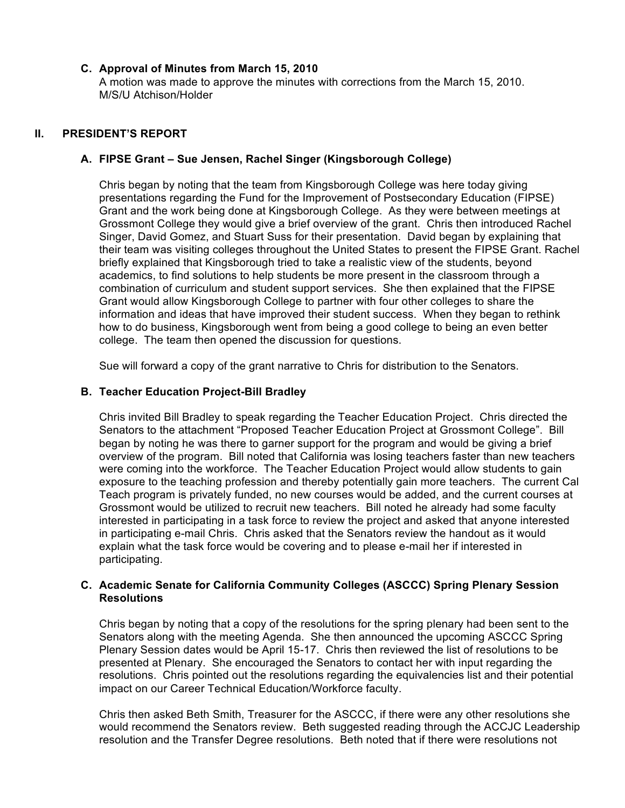#### **C. Approval of Minutes from March 15, 2010**

A motion was made to approve the minutes with corrections from the March 15, 2010. M/S/U Atchison/Holder

## **II. PRESIDENT'S REPORT**

#### **A. FIPSE Grant – Sue Jensen, Rachel Singer (Kingsborough College)**

Chris began by noting that the team from Kingsborough College was here today giving presentations regarding the Fund for the Improvement of Postsecondary Education (FIPSE) Grant and the work being done at Kingsborough College. As they were between meetings at Grossmont College they would give a brief overview of the grant. Chris then introduced Rachel Singer, David Gomez, and Stuart Suss for their presentation. David began by explaining that their team was visiting colleges throughout the United States to present the FIPSE Grant. Rachel briefly explained that Kingsborough tried to take a realistic view of the students, beyond academics, to find solutions to help students be more present in the classroom through a combination of curriculum and student support services. She then explained that the FIPSE Grant would allow Kingsborough College to partner with four other colleges to share the information and ideas that have improved their student success. When they began to rethink how to do business, Kingsborough went from being a good college to being an even better college. The team then opened the discussion for questions.

Sue will forward a copy of the grant narrative to Chris for distribution to the Senators.

#### **B. Teacher Education Project-Bill Bradley**

Chris invited Bill Bradley to speak regarding the Teacher Education Project. Chris directed the Senators to the attachment "Proposed Teacher Education Project at Grossmont College". Bill began by noting he was there to garner support for the program and would be giving a brief overview of the program. Bill noted that California was losing teachers faster than new teachers were coming into the workforce. The Teacher Education Project would allow students to gain exposure to the teaching profession and thereby potentially gain more teachers. The current Cal Teach program is privately funded, no new courses would be added, and the current courses at Grossmont would be utilized to recruit new teachers. Bill noted he already had some faculty interested in participating in a task force to review the project and asked that anyone interested in participating e-mail Chris. Chris asked that the Senators review the handout as it would explain what the task force would be covering and to please e-mail her if interested in participating.

#### **C. Academic Senate for California Community Colleges (ASCCC) Spring Plenary Session Resolutions**

Chris began by noting that a copy of the resolutions for the spring plenary had been sent to the Senators along with the meeting Agenda. She then announced the upcoming ASCCC Spring Plenary Session dates would be April 15-17. Chris then reviewed the list of resolutions to be presented at Plenary. She encouraged the Senators to contact her with input regarding the resolutions. Chris pointed out the resolutions regarding the equivalencies list and their potential impact on our Career Technical Education/Workforce faculty.

Chris then asked Beth Smith, Treasurer for the ASCCC, if there were any other resolutions she would recommend the Senators review. Beth suggested reading through the ACCJC Leadership resolution and the Transfer Degree resolutions. Beth noted that if there were resolutions not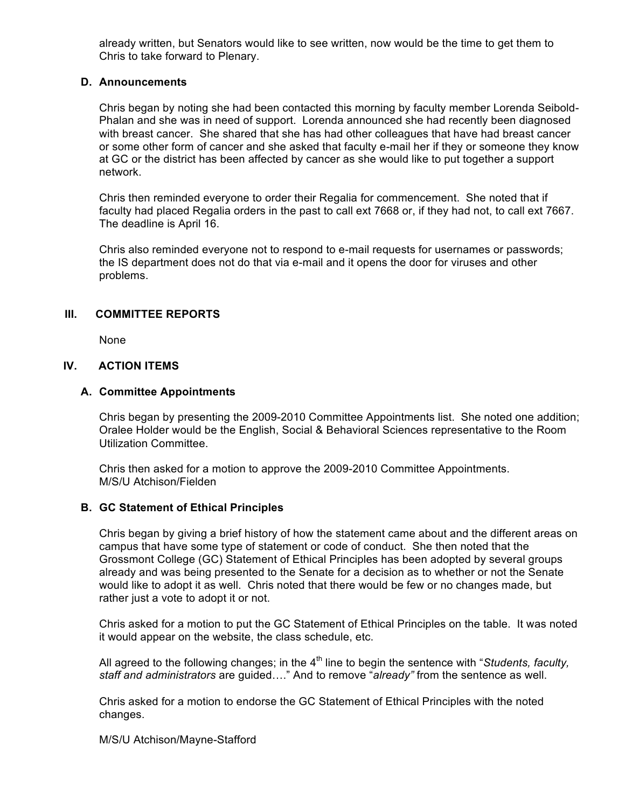already written, but Senators would like to see written, now would be the time to get them to Chris to take forward to Plenary.

#### **D. Announcements**

Chris began by noting she had been contacted this morning by faculty member Lorenda Seibold-Phalan and she was in need of support. Lorenda announced she had recently been diagnosed with breast cancer. She shared that she has had other colleagues that have had breast cancer or some other form of cancer and she asked that faculty e-mail her if they or someone they know at GC or the district has been affected by cancer as she would like to put together a support network.

Chris then reminded everyone to order their Regalia for commencement. She noted that if faculty had placed Regalia orders in the past to call ext 7668 or, if they had not, to call ext 7667. The deadline is April 16.

Chris also reminded everyone not to respond to e-mail requests for usernames or passwords; the IS department does not do that via e-mail and it opens the door for viruses and other problems.

# **III. COMMITTEE REPORTS**

None

# **IV. ACTION ITEMS**

#### **A. Committee Appointments**

Chris began by presenting the 2009-2010 Committee Appointments list. She noted one addition; Oralee Holder would be the English, Social & Behavioral Sciences representative to the Room Utilization Committee.

Chris then asked for a motion to approve the 2009-2010 Committee Appointments. M/S/U Atchison/Fielden

# **B. GC Statement of Ethical Principles**

Chris began by giving a brief history of how the statement came about and the different areas on campus that have some type of statement or code of conduct. She then noted that the Grossmont College (GC) Statement of Ethical Principles has been adopted by several groups already and was being presented to the Senate for a decision as to whether or not the Senate would like to adopt it as well. Chris noted that there would be few or no changes made, but rather just a vote to adopt it or not.

Chris asked for a motion to put the GC Statement of Ethical Principles on the table. It was noted it would appear on the website, the class schedule, etc.

All agreed to the following changes; in the 4<sup>th</sup> line to begin the sentence with "*Students, faculty, staff and administrators* are guided…." And to remove "*already"* from the sentence as well.

Chris asked for a motion to endorse the GC Statement of Ethical Principles with the noted changes.

#### M/S/U Atchison/Mayne-Stafford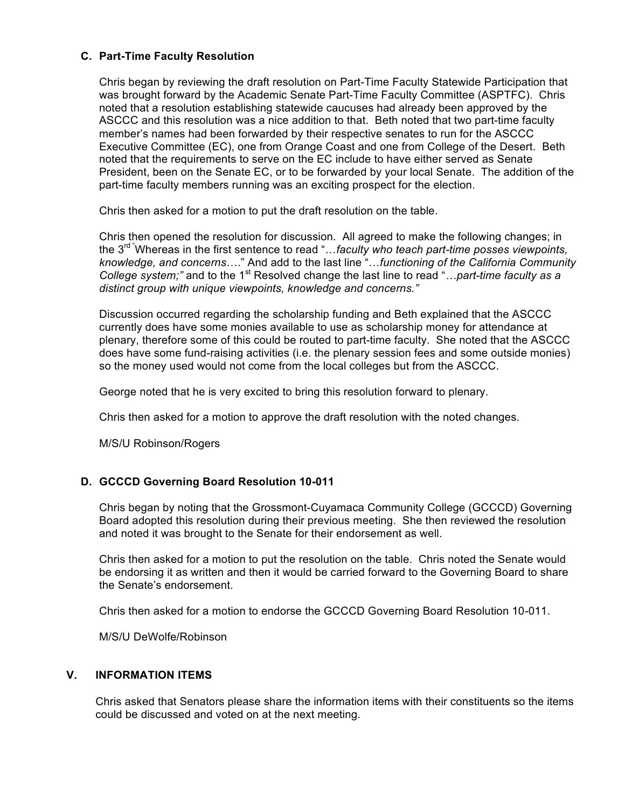# **C. Part-Time Faculty Resolution**

Chris began by reviewing the draft resolution on Part-Time Faculty Statewide Participation that was brought forward by the Academic Senate Part-Time Faculty Committee (ASPTFC). Chris noted that a resolution establishing statewide caucuses had already been approved by the ASCCC and this resolution was a nice addition to that. Beth noted that two part-time faculty member's names had been forwarded by their respective senates to run for the ASCCC Executive Committee (EC), one from Orange Coast and one from College of the Desert. Beth noted that the requirements to serve on the EC include to have either served as Senate President, been on the Senate EC, or to be forwarded by your local Senate. The addition of the part-time faculty members running was an exciting prospect for the election.

Chris then asked for a motion to put the draft resolution on the table.

Chris then opened the resolution for discussion. All agreed to make the following changes; in the 3rd "Whereas in the first sentence to read "…*faculty who teach part-time posses viewpoints, knowledge, and concerns*…." And add to the last line "…*functioning of the California Community College system;"* and to the 1<sup>st</sup> Resolved change the last line to read "...part-time faculty as a *distinct group with unique viewpoints, knowledge and concerns."*

Discussion occurred regarding the scholarship funding and Beth explained that the ASCCC currently does have some monies available to use as scholarship money for attendance at plenary, therefore some of this could be routed to part-time faculty. She noted that the ASCCC does have some fund-raising activities (i.e. the plenary session fees and some outside monies) so the money used would not come from the local colleges but from the ASCCC.

George noted that he is very excited to bring this resolution forward to plenary.

Chris then asked for a motion to approve the draft resolution with the noted changes.

M/S/U Robinson/Rogers

# **D. GCCCD Governing Board Resolution 10-011**

Chris began by noting that the Grossmont-Cuyamaca Community College (GCCCD) Governing Board adopted this resolution during their previous meeting. She then reviewed the resolution and noted it was brought to the Senate for their endorsement as well.

Chris then asked for a motion to put the resolution on the table. Chris noted the Senate would be endorsing it as written and then it would be carried forward to the Governing Board to share the Senate's endorsement.

Chris then asked for a motion to endorse the GCCCD Governing Board Resolution 10-011.

M/S/U DeWolfe/Robinson

# **V. INFORMATION ITEMS**

Chris asked that Senators please share the information items with their constituents so the items could be discussed and voted on at the next meeting.